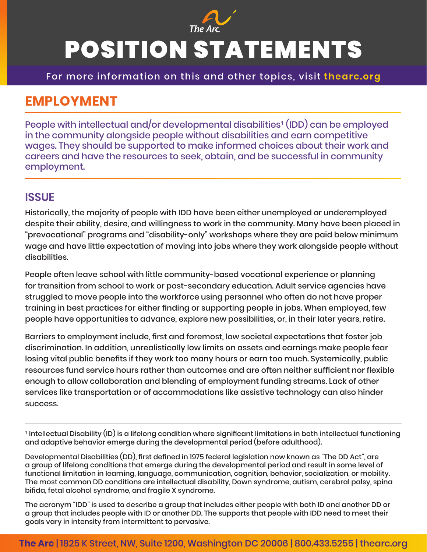

# POSITION STATEMENTS

For more information on this and other topics, visit **thearc.org**

## **EMPLOYMENT**

People with intellectual and/or developmental disabilities<sup>1</sup> (IDD) can be employed in the community alongside people without disabilities and earn competitive wages. They should be supported to make informed choices about their work and careers and have the resources to seek, obtain, and be successful in community employment.

#### **ISSUE**

Historically, the majority of people with IDD have been either unemployed or underemployed despite their ability, desire, and willingness to work in the community. Many have been placed in "prevocational" programs and "disability-only" workshops where they are paid below minimum wage and have little expectation of moving into jobs where they work alongside people without disabilities.

People often leave school with little community-based vocational experience or planning for transition from school to work or post-secondary education. Adult service agencies have struggled to move people into the workforce using personnel who often do not have proper training in best practices for either finding or supporting people in jobs. When employed, few people have opportunities to advance, explore new possibilities, or, in their later years, retire.

Barriers to employment include, first and foremost, low societal expectations that foster job discrimination. In addition, unrealistically low limits on assets and earnings make people fear losing vital public benefits if they work too many hours or earn too much. Systemically, public resources fund service hours rather than outcomes and are often neither sufficient nor flexible enough to allow collaboration and blending of employment funding streams. Lack of other services like transportation or of accommodations like assistive technology can also hinder success.

1 Intellectual Disability (ID) is a lifelong condition where significant limitations in both intellectual functioning and adaptive behavior emerge during the developmental period (before adulthood).

Developmental Disabilities (DD), first defined in 1975 federal legislation now known as "The DD Act", are a group of lifelong conditions that emerge during the developmental period and result in some level of functional limitation in learning, language, communication, cognition, behavior, socialization, or mobility. The most common DD conditions are intellectual disability, Down syndrome, autism, cerebral palsy, spina bifida, fetal alcohol syndrome, and fragile X syndrome.

The acronym "IDD" is used to describe a group that includes either people with both ID and another DD or a group that includes people with ID or another DD. The supports that people with IDD need to meet their goals vary in intensity from intermittent to pervasive.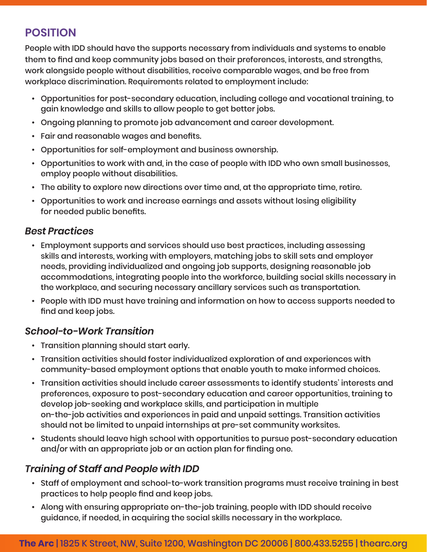### **POSITION**

People with IDD should have the supports necessary from individuals and systems to enable them to find and keep community jobs based on their preferences, interests, and strengths, work alongside people without disabilities, receive comparable wages, and be free from workplace discrimination. Requirements related to employment include:

- Opportunities for post-secondary education, including college and vocational training, to gain knowledge and skills to allow people to get better jobs.
- Ongoing planning to promote job advancement and career development.
- Fair and reasonable wages and benefits.
- Opportunities for self-employment and business ownership.
- Opportunities to work with and, in the case of people with IDD who own small businesses, employ people without disabilities.
- The ability to explore new directions over time and, at the appropriate time, retire.
- Opportunities to work and increase earnings and assets without losing eligibility for needed public benefits.

#### *Best Practices*

- Employment supports and services should use best practices, including assessing skills and interests, working with employers, matching jobs to skill sets and employer needs, providing individualized and ongoing job supports, designing reasonable job accommodations, integrating people into the workforce, building social skills necessary in the workplace, and securing necessary ancillary services such as transportation.
- People with IDD must have training and information on how to access supports needed to find and keep jobs.

#### *School-to-Work Transition*

- Transition planning should start early.
- Transition activities should foster individualized exploration of and experiences with community-based employment options that enable youth to make informed choices.
- Transition activities should include career assessments to identify students' interests and preferences, exposure to post-secondary education and career opportunities, training to develop job-seeking and workplace skills, and participation in multiple on-the-job activities and experiences in paid and unpaid settings. Transition activities should not be limited to unpaid internships at pre-set community worksites.
- Students should leave high school with opportunities to pursue post-secondary education and/or with an appropriate job or an action plan for finding one.

#### *Training of Staff and People with IDD*

- Staff of employment and school-to-work transition programs must receive training in best practices to help people find and keep jobs.
- Along with ensuring appropriate on-the-job training, people with IDD should receive guidance, if needed, in acquiring the social skills necessary in the workplace.

#### **The Arc** | 1825 K Street, NW, Suite 1200, Washington DC 20006 | 800.433.5255 | thearc.org